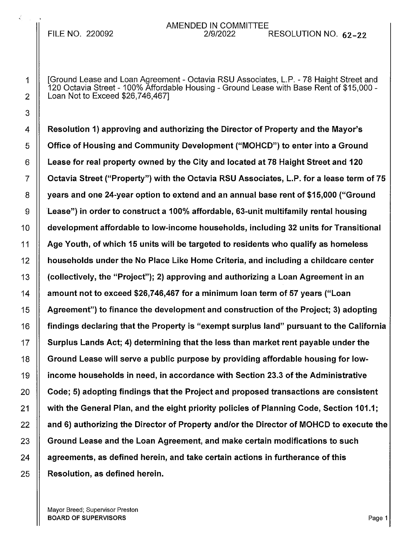## AMENDED IN COMMITTEE<br>*2/*9/2022 FILE NO. 220092 2/9/2022 RESOLUTION NO. 62-22

1 I [Ground Lease and Loan Agreement - Octavia RSU Associates, L.P. - 78 Haight Street and 120 Octavia Street- 100% Affordable Housing - Ground Lease with Base Rent of \$15,000 -  $2 \parallel$  Loan Not to Exceed \$26,746,467]

4 A Resolution 1) approving and authorizing the Director of Property and the Mayor's 5 | Office of Housing and Community Development ("MOHCD") to enter into a Ground  $6$   $\parallel$  Lease for real property owned by the City and located at 78 Haight Street and 120  $7 \parallel$  Octavia Street ("Property") with the Octavia RSU Associates, L.P. for a lease term of 75 8 | years and one 24-year option to extend and an annual base rent of \$15,000 ("Ground  $9 \parallel$  Lease") in order to construct a 100% affordable, 63-unit multifamily rental housing 10 | development affordable to low-income households, including 32 units for Transitional 11 | Age Youth, of which 15 units will be targeted to residents who qualify as homeless 12 households under the No Place Like Home Criteria, and including a childcare center 13 || (collectively, the "Project"); 2) approving and authorizing a Loan Agreement in an  $14$   $\parallel$  amount not to exceed \$26,746,467 for a minimum loan term of 57 years ("Loan 15  $\parallel$  Agreement") to finance the development and construction of the Project; 3) adopting 16 **Findings declaring that the Property is "exempt surplus land" pursuant to the California** 17  $\parallel$  Surplus Lands Act; 4) determining that the less than market rent payable under the 18  $\parallel$  Ground Lease will serve a public purpose by providing affordable housing for low-19 income households in need, in accordance with Section 23.3 of the Administrative  $20$   $\parallel$  Code; 5) adopting findings that the Project and proposed transactions are consistent 21 | with the General Plan, and the eight priority policies of Planning Code, Section 101.1;  $22$   $\parallel$  and 6) authorizing the Director of Property and/or the Director of MOHCD to execute the  $23$   $\parallel$  Ground Lease and the Loan Agreement, and make certain modifications to such  $24$   $\parallel$  agreements, as defined herein, and take certain actions in furtherance of this  $25$  | Resolution, as defined herein.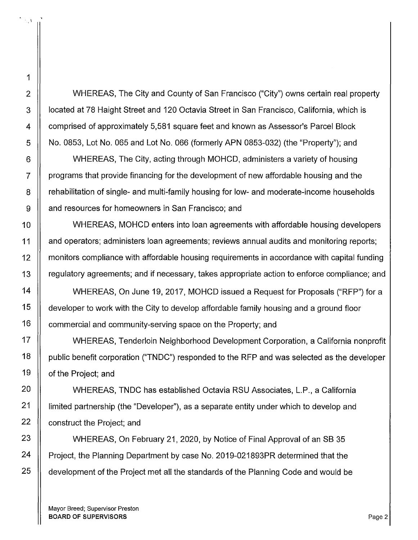2 WHEREAS, The City and County of San Francisco ("City") owns certain real property 3 | | located at 78 Haight Street and 120 Octavia Street in San Francisco, California, which is 4 comprised of approximately 5,581 square feet and known as Assessor's Parcel Block  $5$  | No. 0853, Lot No. 065 and Lot No. 066 (formerly APN 0853-032) (the "Property"); and

6 | WHEREAS, The City, acting through MOHCD, administers a variety of housing  $7 \parallel$  programs that provide financing for the development of new affordable housing and the 8 **F** rehabilitation of single- and multi-family housing for low- and moderate-income households 9 | and resources for homeowners in San Francisco; and

10 **NUMBEREAS, MOHCD enters into loan agreements with affordable housing developers** 11 and operators; administers loan agreements; reviews annual audits and monitoring reports; 12 monitors compliance with affordable housing requirements in accordance with capital funding 13 regulatory agreements; and if necessary, takes appropriate action to enforce compliance; and

14 WHEREAS, On June 19, 2017, MOHCD issued a Request for Proposals ("RFP") for a 15 | developer to work with the City to develop affordable family housing and a ground floor 16  $\parallel$  commercial and community-serving space on the Property; and

17 WHEREAS, Tenderloin Neighborhood Development Corporation, a California nonprofit 18 | public benefit corporation ("TNDC") responded to the RFP and was selected as the developer 19 | of the Project; and

20 WHEREAS, TNDC has established Octavia RSU Associates, L.P., a California 21 | imited partnership (the "Developer"), as a separate entity under which to develop and 22  $\parallel$  construct the Project; and

23 | WHEREAS, On February 21, 2020, by Notice of Final Approval of an SB 35 24 | Project, the Planning Department by case No. 2019-021893PR determined that the  $25$   $\parallel$  development of the Project met all the standards of the Planning Code and would be

Mayor Breed; Supervisor Preston BOARD OF SUPERVISORS **Page 2** 

 $\mathbb{Z}^{\mathcal{A}}$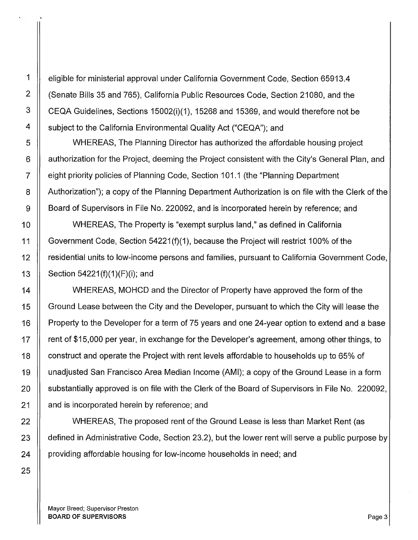1 eligible for ministerial approval under California Government Code, Section 65913.4 2 (Senate Bills 35 and 765), California Public Resources Code, Section 21080, and the 3 CEQA Guidelines, Sections 15002(i)(1 ), 15268 and 15369, and would therefore not be 4  $\parallel$  subject to the California Environmental Quality Act ("CEQA"); and

5 WHEREAS, The Planning Director has authorized the affordable housing project 6 | authorization for the Project, deeming the Project consistent with the City's General Plan, and 7 eight priority policies of Planning Code, Section 101.1 (the "Planning Department 8 | Authorization"); a copy of the Planning Department Authorization is on file with the Clerk of the 9 | Board of Supervisors in File No. 220092, and is incorporated herein by reference; and

10 | WHEREAS, The Property is "exempt surplus land," as defined in California 11 Government Code, Section 54221 (f)(1 ), because the Project will restrict 100% of the 12 residential units to low-income persons and families, pursuant to California Government Code, 13 | Section 54221(f)(1)(F)(i); and

14 | WHEREAS, MOHCD and the Director of Property have approved the form of the 15 | Ground Lease between the City and the Developer, pursuant to which the City will lease the 16 | Property to the Developer for a term of 75 years and one 24-year option to extend and a base 17  $\parallel$  rent of \$15,000 per year, in exchange for the Developer's agreement, among other things, to 18 | construct and operate the Project with rent levels affordable to households up to 65% of 19 unadjusted San Francisco Area Median Income (AMI); a copy of the Ground Lease in a form 20 | substantially approved is on file with the Clerk of the Board of Supervisors in File No. 220092, 21 | and is incorporated herein by reference; and

22 || WHEREAS, The proposed rent of the Ground Lease is less than Market Rent (as 23 | defined in Administrative Code, Section 23.2), but the lower rent will serve a public purpose by 24 | providing affordable housing for low-income households in need; and

Mayor Breed; Supervisor Preston BOARD OF SUPERVISORS **Page 3**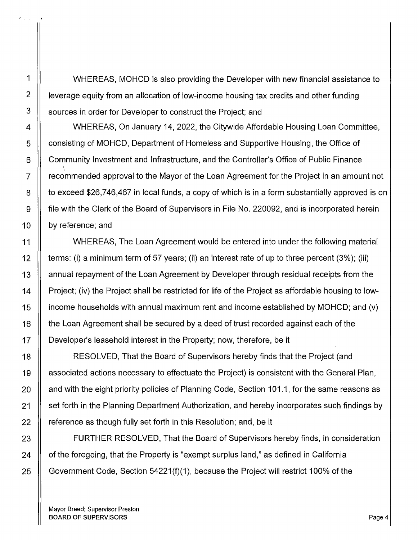1 | WHEREAS, MOHCD is also providing the Developer with new financial assistance to 2  $\parallel$  leverage equity from an allocation of low-income housing tax credits and other funding 3 | sources in order for Developer to construct the Project; and

4 | WHEREAS, On January 14, 2022, the Citywide Affordable Housing Loan Committee, 5 Consisting of MOHCD, Department of Homeless and Supportive Housing, the Office of 6 Community Investment and Infrastructure, and the Controller's Office of Public Finance  $\bigwedge$  $7 \parallel$  recommended approval to the Mayor of the Loan Agreement for the Project in an amount not 8 | to exceed \$26,746,467 in local funds, a copy of which is in a form substantially approved is on 9 file with the Clerk of the Board of Supervisors in File No. 220092, and is incorporated herein 10  $\parallel$  by reference; and

11 | WHEREAS, The Loan Agreement would be entered into under the following material 12  $\parallel$  terms: (i) a minimum term of 57 years; (ii) an interest rate of up to three percent (3%); (iii) 13 annual repayment of the Loan Agreement by Developer through residual receipts from the 14 | Project; (iv) the Project shall be restricted for life of the Project as affordable housing to low-15 income households with annual maximum rent and income established by MOHCD; and (v) 16 | the Loan Agreement shall be secured by a deed of trust recorded against each of the 17 | Developer's leasehold interest in the Property; now, therefore, be it

18 RESOLVED, That the Board of Supervisors hereby finds that the Project (and 19 associated actions necessary to effectuate the Project) is consistent with the General Plan, 20  $\parallel$  and with the eight priority policies of Planning Code, Section 101.1, for the same reasons as 21 | set forth in the Planning Department Authorization, and hereby incorporates such findings by  $22$   $\parallel$  reference as though fully set forth in this Resolution; and, be it

23 | FURTHER RESOLVED, That the Board of Supervisors hereby finds, in consideration  $24$  | of the foregoing, that the Property is "exempt surplus land," as defined in California 25  $\parallel$  Government Code, Section 54221(f)(1), because the Project will restrict 100% of the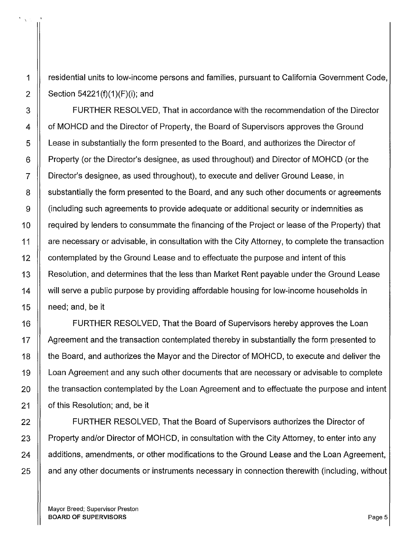1 residential units to low-income persons and families, pursuant to California Government Code, 2 | Section 54221(f)(1)(F)(i); and

3 FURTHER RESOLVED, That in accordance with the recommendation of the Director 4 | of MOHCD and the Director of Property, the Board of Supervisors approves the Ground 5 Lease in substantially the form presented to the Board, and authorizes the Director of 6 **Property (or the Director's designee, as used throughout) and Director of MOHCD (or the** 7 Director's designee, as used throughout), to execute and deliver Ground Lease, in 8 S  $\parallel$  substantially the form presented to the Board, and any such other documents or agreements 9 (including such agreements to provide adequate or additional security or indemnities as 10 | required by lenders to consummate the financing of the Project or lease of the Property) that 11 | are necessary or advisable, in consultation with the City Attorney, to complete the transaction 12 | contemplated by the Ground Lease and to effectuate the purpose and intent of this 13 | Resolution, and determines that the less than Market Rent payable under the Ground Lease 14 | will serve a public purpose by providing affordable housing for low-income households in 15 | need; and, be it

16 | FURTHER RESOLVED, That the Board of Supervisors hereby approves the Loan 17 | Agreement and the transaction contemplated thereby in substantially the form presented to 18 the Board, and authorizes the Mayor and the Director of MOHCD, to execute and deliver the 19 Loan Agreement and any such other documents that are necessary or advisable to complete 20 | the transaction contemplated by the Loan Agreement and to effectuate the purpose and intent 21 | of this Resolution; and, be it

22 | FURTHER RESOLVED, That the Board of Supervisors authorizes the Director of 23  $\parallel$  Property and/or Director of MOHCD, in consultation with the City Attorney, to enter into any 24 | additions, amendments, or other modifications to the Ground Lease and the Loan Agreement, 25 | and any other documents or instruments necessary in connection therewith (including, without

Mayor Breed; Supervisor Preston BOARD OF SUPERVISORS **Page 5**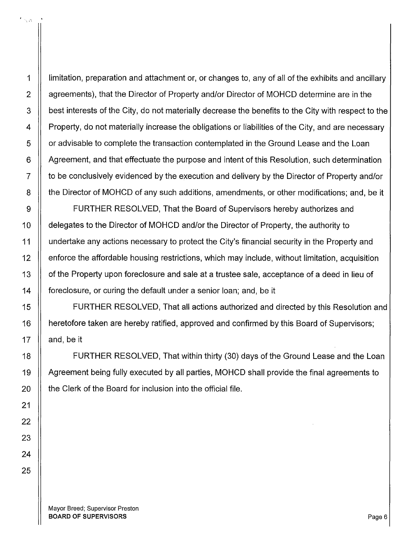1 limitation, preparation and attachment or, or changes to, any of all of the exhibits and ancillary 2 | agreements), that the Director of Property and/or Director of MOHCD determine are in the 3 | best interests of the City, do not materially decrease the benefits to the City with respect to the 4  $\parallel$  Property, do not materially increase the obligations or liabilities of the City, and are necessary 5 | or advisable to complete the transaction contemplated in the Ground Lease and the Loan 6 Agreement, and that effectuate the purpose and intent of this Resolution, such determination 7  $\parallel$  to be conclusively evidenced by the execution and delivery by the Director of Property and/or 8 | the Director of MOHCD of any such additions, amendments, or other modifications; and, be it

9 **FURTHER RESOLVED, That the Board of Supervisors hereby authorizes and** 10 | delegates to the Director of MOHCD and/or the Director of Property, the authority to 11 | undertake any actions necessary to protect the City's financial security in the Property and 12 enforce the affordable housing restrictions, which may include, without limitation, acquisition 13 | of the Property upon foreclosure and sale at a trustee sale, acceptance of a deed in lieu of 14 foreclosure, or curing the default under a senior loan; and, be it

15 FURTHER RESOLVED, That all actions authorized and directed by this Resolution and 16 | heretofore taken are hereby ratified, approved and confirmed by this Board of Supervisors; 17  $\parallel$  and, be it

18 FURTHER RESOLVED, That within thirty (30) days of the Ground Lease and the Loan 19 Agreement being fully executed by all parties, MOHCD shall provide the final agreements to  $20$   $\parallel$  the Clerk of the Board for inclusion into the official file.

Mayor Breed; Supervisor Preston BOARD OF SUPERVISORS **Page 6** 

 $\mathcal{I}_{V\mathcal{L}}$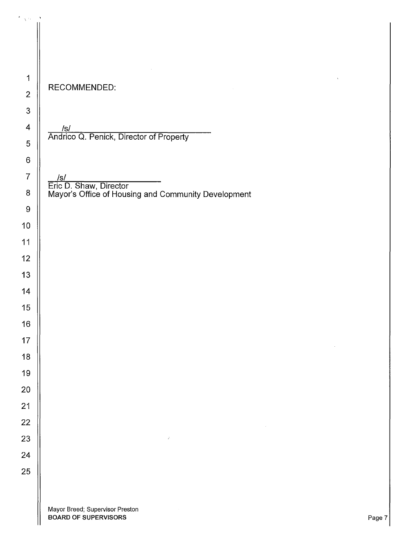| 1              |        |
|----------------|--------|
| $\overline{c}$ | F      |
| 3              |        |
| 4              |        |
| 5              |        |
| 6              |        |
| 7              |        |
| 8              | É<br>N |
| 9              |        |
| 10             |        |
| 11             |        |
| 12             |        |
| 13             |        |
| 14             |        |
| 15             |        |
| 16             |        |
| 17             |        |
| 18             |        |
| 19             |        |
| 20             |        |
| 21             |        |
| 22             |        |
| 23             |        |
| 24             |        |
| 25             |        |
|                |        |

## RECOMMENDED:

<u>/s/\_</u> Andrico Q. Penick, Director of Property

 $\frac{7}{2}$  ||  $\frac{1}{2}$  ||  $\frac{1}{2}$  ||  $\frac{1}{2}$  ||  $\frac{1}{2}$  ||  $\frac{1}{2}$  ||  $\frac{1}{2}$  ||  $\frac{1}{2}$  ||  $\frac{1}{2}$  ||  $\frac{1}{2}$  ||  $\frac{1}{2}$  ||  $\frac{1}{2}$  ||  $\frac{1}{2}$  ||  $\frac{1}{2}$  ||  $\frac{1}{2}$  ||  $\frac{1}{2}$  ||  $\frac{1}{2}$  || Eric D. Shaw, Director <sup>8</sup> H Mayor's Office of Housing and Community Development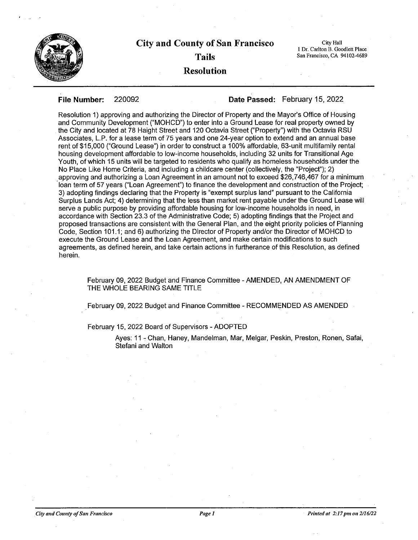

## **City and County of San Francisco Tails Resolution**

City Hall l Dr. Carlton B. Goodlett Place San Francisco, CA 94102-4689

**File Number:** 220092 **Date Passed:** February 15, 2022

Resolution 1) approving and authorizing the Director of Property and the Mayor's Office of Housing and Community Development ("MOHCD") to enter into a Ground Lease for real property owned by the City and located at 78 Haight Street and 120 Octavia Street ("Property") with the Octavia RSU Associates, L.P. for a lease term of 75 years and one 24-year option to extend and an annual base rent of \$15,000 ("Ground Lease") in order to construct a 100% affordable, 63-unit multifamily rental housing development affordable to low-income households, including 32 units for Transitional Age Youth, of which 15 units will be targeted to residents who qualify as homeless households under the No Place Like Home Criteria, and including a childcare center (collectively, the "Project"); 2) approving and authorizing a Loan Agreement in an amount not to exceed \$26,746,467 for a minimum · 16an term of 57 years ("Loan Agreement") to finance the development and construction of the Project; 3) adopting findings declaring that the Property is "exempt surplus land" pursuant to the California Surplus Lands Act; 4) determining that the less than market rent payable under the Ground Lease will serve a public purpose by providing affordable housing for low-income households in need, in accordance with Section 23.3 of the Administrative Code; 5) adopting findings that the Project and proposed transactions are consistent with the General Plan, and the eight priority policies of Planning Code, Section 101.1; and 6) authorizing the Director of Property and/or the Director of MOHCD to execute the Ground Lease and the Loan Agreement, and make certain modifications to such agreements, as defined herein, and take certain actions in furtherance of this Resolution, as defined herein.

February 09, 2022 Budget and Finance Committee - AMENDED, AN AMENDMENT OF THE WHOLE BEARING SAME TITLE

. February 09, 2022 Budget and Finance Committee - RECOMMENDED AS AMENDED

February 15, 2022 Board of Supervisors -ADOPTED

Ayes: 11 - Chan, Haney, Mandelman, Mar, Melgar, Peskin, Preston, Ronen, Safai, Stefani and Walton